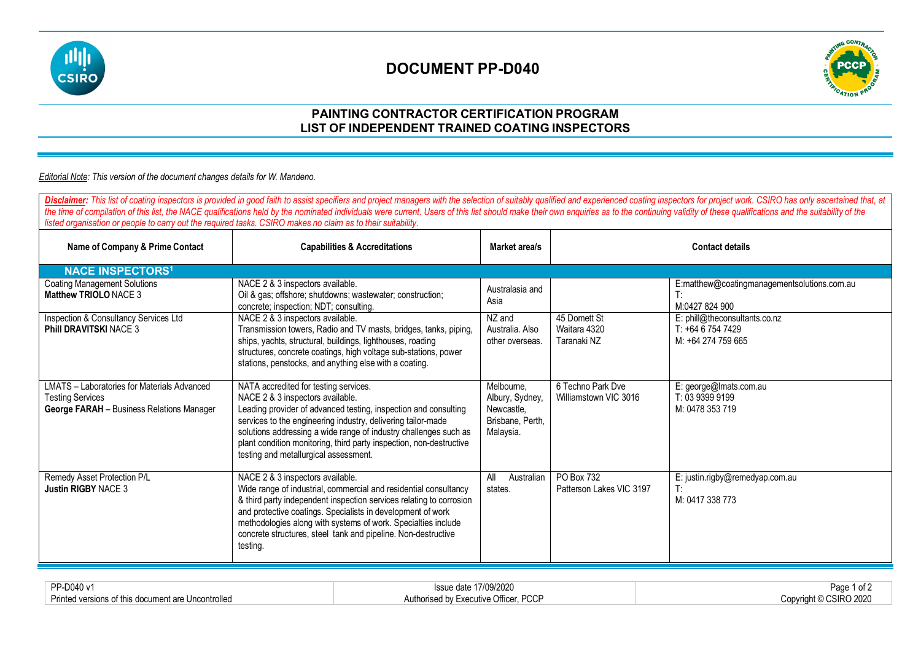

## **DOCUMENT PP-D040**



### **PAINTING CONTRACTOR CERTIFICATION PROGRAM LIST OF INDEPENDENT TRAINED COATING INSPECTORS**

#### *Editorial Note: This version of the document changes details for W. Mandeno.*

Disclaimer: This list of coating inspectors is provided in good faith to assist specifiers and project managers with the selection of suitably qualified and experienced coating inspectors for project work. CSIRO has only a the time of compilation of this list, the NACE qualifications held by the nominated individuals were current. Users of this list should make their own enquiries as to the continuing validity of these qualifications and the *listed organisation or people to carry out the required tasks. CSIRO makes no claim as to their suitability.* **Name of Company & Prime Contact Capabilities & Accreditations Contact Accreditations Market area/s Company & Prime Contact details NACE INSPECTORS1** Coating Management Solutions **Matthew TRIOLO** NACE 3 NACE 2 & 3 inspectors available. Oil & gas; offshore; shutdowns; wastewater; construction; concrete; inspection; NDT; consulting. Australasia and Asia E:matthew@coatingmanagementsolutions.com.au T: M:0427 824 900 Inspection & Consultancy Services Ltd **Phill DRAVITSKI** NACE 3 NACE 2 & 3 inspectors available. Transmission towers, Radio and TV masts, bridges, tanks, piping, ships, yachts, structural, buildings, lighthouses, roading structures, concrete coatings, high voltage sub-stations, power stations, penstocks, and anything else with a coating. NZ and Australia. Also other overseas. 45 Domett St Waitara 4320 Taranaki NZ E: phill@theconsultants.co.nz T: +64 6 754 7429 M: +64 274 759 665 LMATS – Laboratories for Materials Advanced Testing Services **George FARAH** – Business Relations Manager NATA accredited for testing services. NACE 2 & 3 inspectors available. Leading provider of advanced testing, inspection and consulting services to the engineering industry, delivering tailor-made solutions addressing a wide range of industry challenges such as plant condition monitoring, third party inspection, non-destructive testing and metallurgical assessment. Melbourne, Albury, Sydney, Newcastle, Brisbane, Perth, Malaysia. 6 Techno Park Dve Williamstown VIC 3016 E: george@lmats.com.au T: 03 9399 9199 M: 0478 353 719 Remedy Asset Protection P/L **Justin RIGBY** NACE 3 NACE 2 & 3 inspectors available. Wide range of industrial, commercial and residential consultancy & third party independent inspection services relating to corrosion and protective coatings. Specialists in development of work methodologies along with systems of work. Specialties include concrete structures, steel tank and pipeline. Non-destructive testing. All Australian states. PO Box 732 Patterson Lakes VIC 3197 E: justin.rigby@remedyap.com.au T: M: 0417 338 773

| PP-D040 v                    | SSUG<br>UY/2020                                           | Page<br>UI.       |
|------------------------------|-----------------------------------------------------------|-------------------|
| Print<br>Uncontrolled<br>--- | $R^{\wedge}$<br>Aut'<br>-vari<br>utive<br>m<br>טי<br>וטטו | 000<br>USIRO ZUZU |